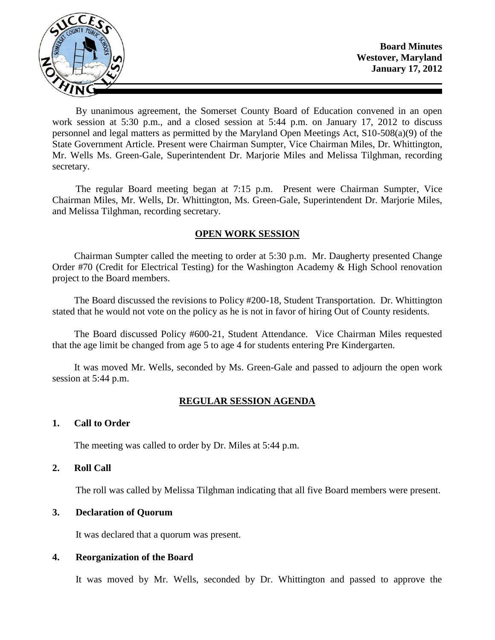

By unanimous agreement, the Somerset County Board of Education convened in an open work session at 5:30 p.m., and a closed session at 5:44 p.m. on January 17, 2012 to discuss personnel and legal matters as permitted by the Maryland Open Meetings Act, S10-508(a)(9) of the State Government Article. Present were Chairman Sumpter, Vice Chairman Miles, Dr. Whittington, Mr. Wells Ms. Green-Gale, Superintendent Dr. Marjorie Miles and Melissa Tilghman, recording secretary.

The regular Board meeting began at 7:15 p.m. Present were Chairman Sumpter, Vice Chairman Miles, Mr. Wells, Dr. Whittington, Ms. Green-Gale, Superintendent Dr. Marjorie Miles, and Melissa Tilghman, recording secretary.

# **OPEN WORK SESSION**

Chairman Sumpter called the meeting to order at 5:30 p.m. Mr. Daugherty presented Change Order #70 (Credit for Electrical Testing) for the Washington Academy & High School renovation project to the Board members.

The Board discussed the revisions to Policy #200-18, Student Transportation. Dr. Whittington stated that he would not vote on the policy as he is not in favor of hiring Out of County residents.

The Board discussed Policy #600-21, Student Attendance. Vice Chairman Miles requested that the age limit be changed from age 5 to age 4 for students entering Pre Kindergarten.

It was moved Mr. Wells, seconded by Ms. Green-Gale and passed to adjourn the open work session at 5:44 p.m.

# **REGULAR SESSION AGENDA**

## **1. Call to Order**

The meeting was called to order by Dr. Miles at 5:44 p.m.

## **2. Roll Call**

The roll was called by Melissa Tilghman indicating that all five Board members were present.

# **3. Declaration of Quorum**

It was declared that a quorum was present.

## **4. Reorganization of the Board**

It was moved by Mr. Wells, seconded by Dr. Whittington and passed to approve the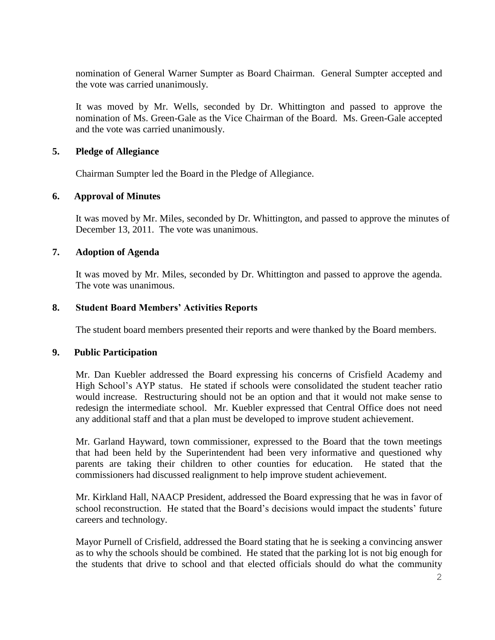nomination of General Warner Sumpter as Board Chairman. General Sumpter accepted and the vote was carried unanimously.

It was moved by Mr. Wells, seconded by Dr. Whittington and passed to approve the nomination of Ms. Green-Gale as the Vice Chairman of the Board. Ms. Green-Gale accepted and the vote was carried unanimously.

## **5. Pledge of Allegiance**

Chairman Sumpter led the Board in the Pledge of Allegiance.

## **6. Approval of Minutes**

It was moved by Mr. Miles, seconded by Dr. Whittington, and passed to approve the minutes of December 13, 2011. The vote was unanimous.

# **7. Adoption of Agenda**

It was moved by Mr. Miles, seconded by Dr. Whittington and passed to approve the agenda. The vote was unanimous.

## **8. Student Board Members' Activities Reports**

The student board members presented their reports and were thanked by the Board members.

## **9. Public Participation**

Mr. Dan Kuebler addressed the Board expressing his concerns of Crisfield Academy and High School's AYP status. He stated if schools were consolidated the student teacher ratio would increase. Restructuring should not be an option and that it would not make sense to redesign the intermediate school. Mr. Kuebler expressed that Central Office does not need any additional staff and that a plan must be developed to improve student achievement.

Mr. Garland Hayward, town commissioner, expressed to the Board that the town meetings that had been held by the Superintendent had been very informative and questioned why parents are taking their children to other counties for education. He stated that the commissioners had discussed realignment to help improve student achievement.

Mr. Kirkland Hall, NAACP President, addressed the Board expressing that he was in favor of school reconstruction. He stated that the Board's decisions would impact the students' future careers and technology.

Mayor Purnell of Crisfield, addressed the Board stating that he is seeking a convincing answer as to why the schools should be combined. He stated that the parking lot is not big enough for the students that drive to school and that elected officials should do what the community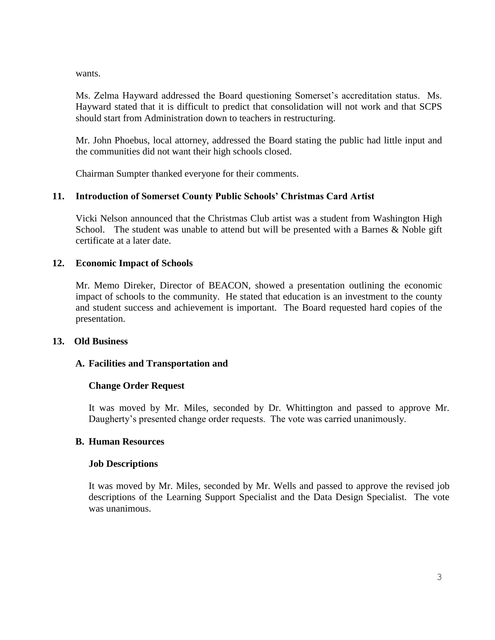wants.

Ms. Zelma Hayward addressed the Board questioning Somerset's accreditation status. Ms. Hayward stated that it is difficult to predict that consolidation will not work and that SCPS should start from Administration down to teachers in restructuring.

Mr. John Phoebus, local attorney, addressed the Board stating the public had little input and the communities did not want their high schools closed.

Chairman Sumpter thanked everyone for their comments.

# **11. Introduction of Somerset County Public Schools' Christmas Card Artist**

Vicki Nelson announced that the Christmas Club artist was a student from Washington High School. The student was unable to attend but will be presented with a Barnes  $\&$  Noble gift certificate at a later date.

## **12. Economic Impact of Schools**

Mr. Memo Direker, Director of BEACON, showed a presentation outlining the economic impact of schools to the community. He stated that education is an investment to the county and student success and achievement is important. The Board requested hard copies of the presentation.

## **13. Old Business**

## **A. Facilities and Transportation and**

# **Change Order Request**

It was moved by Mr. Miles, seconded by Dr. Whittington and passed to approve Mr. Daugherty's presented change order requests. The vote was carried unanimously.

## **B. Human Resources**

## **Job Descriptions**

It was moved by Mr. Miles, seconded by Mr. Wells and passed to approve the revised job descriptions of the Learning Support Specialist and the Data Design Specialist. The vote was unanimous.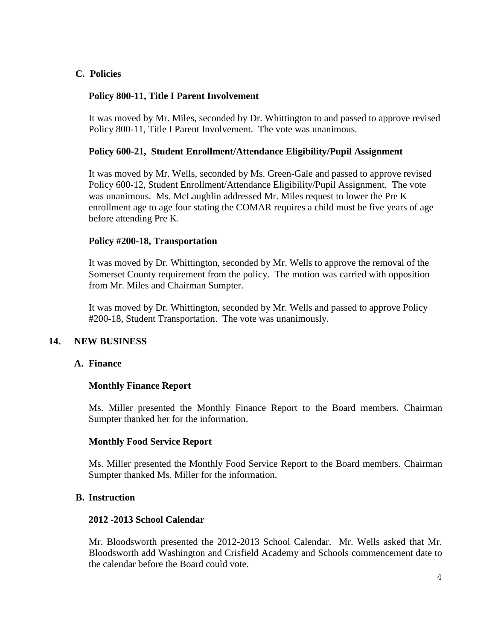# **C. Policies**

# **Policy 800-11, Title I Parent Involvement**

It was moved by Mr. Miles, seconded by Dr. Whittington to and passed to approve revised Policy 800-11, Title I Parent Involvement. The vote was unanimous.

## **Policy 600-21, Student Enrollment/Attendance Eligibility/Pupil Assignment**

It was moved by Mr. Wells, seconded by Ms. Green-Gale and passed to approve revised Policy 600-12, Student Enrollment/Attendance Eligibility/Pupil Assignment. The vote was unanimous. Ms. McLaughlin addressed Mr. Miles request to lower the Pre K enrollment age to age four stating the COMAR requires a child must be five years of age before attending Pre K.

#### **Policy #200-18, Transportation**

It was moved by Dr. Whittington, seconded by Mr. Wells to approve the removal of the Somerset County requirement from the policy. The motion was carried with opposition from Mr. Miles and Chairman Sumpter.

It was moved by Dr. Whittington, seconded by Mr. Wells and passed to approve Policy #200-18, Student Transportation. The vote was unanimously.

## **14. NEW BUSINESS**

#### **A. Finance**

## **Monthly Finance Report**

Ms. Miller presented the Monthly Finance Report to the Board members. Chairman Sumpter thanked her for the information.

## **Monthly Food Service Report**

Ms. Miller presented the Monthly Food Service Report to the Board members. Chairman Sumpter thanked Ms. Miller for the information.

#### **B. Instruction**

#### **2012 -2013 School Calendar**

Mr. Bloodsworth presented the 2012-2013 School Calendar. Mr. Wells asked that Mr. Bloodsworth add Washington and Crisfield Academy and Schools commencement date to the calendar before the Board could vote.